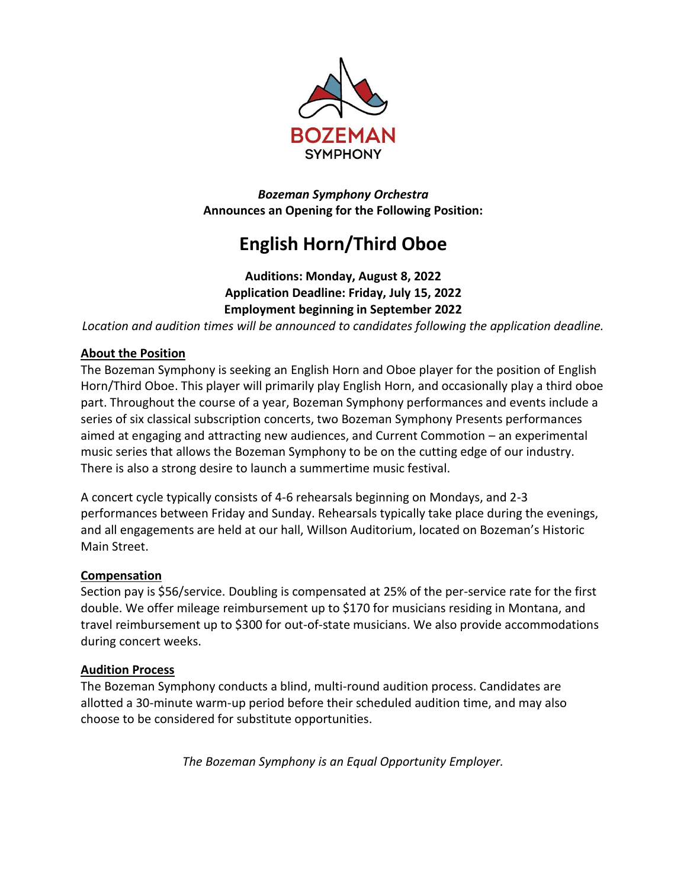

*Bozeman Symphony Orchestra* **Announces an Opening for the Following Position:**

# **English Horn/Third Oboe**

# **Auditions: Monday, August 8, 2022 Application Deadline: Friday, July 15, 2022 Employment beginning in September 2022**

*Location and audition times will be announced to candidates following the application deadline.*

# **About the Position**

The Bozeman Symphony is seeking an English Horn and Oboe player for the position of English Horn/Third Oboe. This player will primarily play English Horn, and occasionally play a third oboe part. Throughout the course of a year, Bozeman Symphony performances and events include a series of six classical subscription concerts, two Bozeman Symphony Presents performances aimed at engaging and attracting new audiences, and Current Commotion – an experimental music series that allows the Bozeman Symphony to be on the cutting edge of our industry. There is also a strong desire to launch a summertime music festival.

A concert cycle typically consists of 4-6 rehearsals beginning on Mondays, and 2-3 performances between Friday and Sunday. Rehearsals typically take place during the evenings, and all engagements are held at our hall, Willson Auditorium, located on Bozeman's Historic Main Street.

# **Compensation**

Section pay is \$56/service. Doubling is compensated at 25% of the per-service rate for the first double. We offer mileage reimbursement up to \$170 for musicians residing in Montana, and travel reimbursement up to \$300 for out-of-state musicians. We also provide accommodations during concert weeks.

# **Audition Process**

The Bozeman Symphony conducts a blind, multi-round audition process. Candidates are allotted a 30-minute warm-up period before their scheduled audition time, and may also choose to be considered for substitute opportunities.

*The Bozeman Symphony is an Equal Opportunity Employer.*